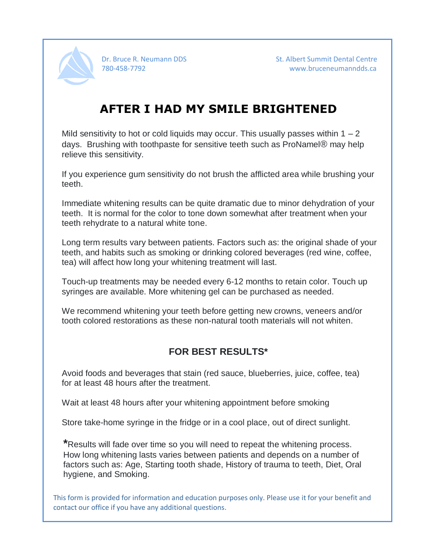

Dr. Bruce R. Neumann DDS St. Albert Summit Dental Centre 780-458-7792 www.bruceneumanndds.ca

## **AFTER I HAD MY SMILE BRIGHTENED**

Mild sensitivity to hot or cold liquids may occur. This usually passes within  $1 - 2$ days. Brushing with toothpaste for sensitive teeth such as ProNamel® may help relieve this sensitivity.

If you experience gum sensitivity do not brush the afflicted area while brushing your teeth.

Immediate whitening results can be quite dramatic due to minor dehydration of your teeth. It is normal for the color to tone down somewhat after treatment when your teeth rehydrate to a natural white tone.

Long term results vary between patients. Factors such as: the original shade of your teeth, and habits such as smoking or drinking colored beverages (red wine, coffee, tea) will affect how long your whitening treatment will last.

Touch-up treatments may be needed every 6-12 months to retain color. Touch up syringes are available. More whitening gel can be purchased as needed.

We recommend whitening your teeth before getting new crowns, veneers and/or tooth colored restorations as these non-natural tooth materials will not whiten.

#### **FOR BEST RESULTS\***

Avoid foods and beverages that stain (red sauce, blueberries, juice, coffee, tea) for at least 48 hours after the treatment.

Wait at least 48 hours after your whitening appointment before smoking

Store take-home syringe in the fridge or in a cool place, out of direct sunlight.

**\***Results will fade over time so you will need to repeat the whitening process. How long whitening lasts varies between patients and depends on a number of factors such as: Age, Starting tooth shade, History of trauma to teeth, Diet, Oral hygiene, and Smoking.

This form is provided for information and education purposes only. Please use it for your benefit and contact our office if you have any additional questions.